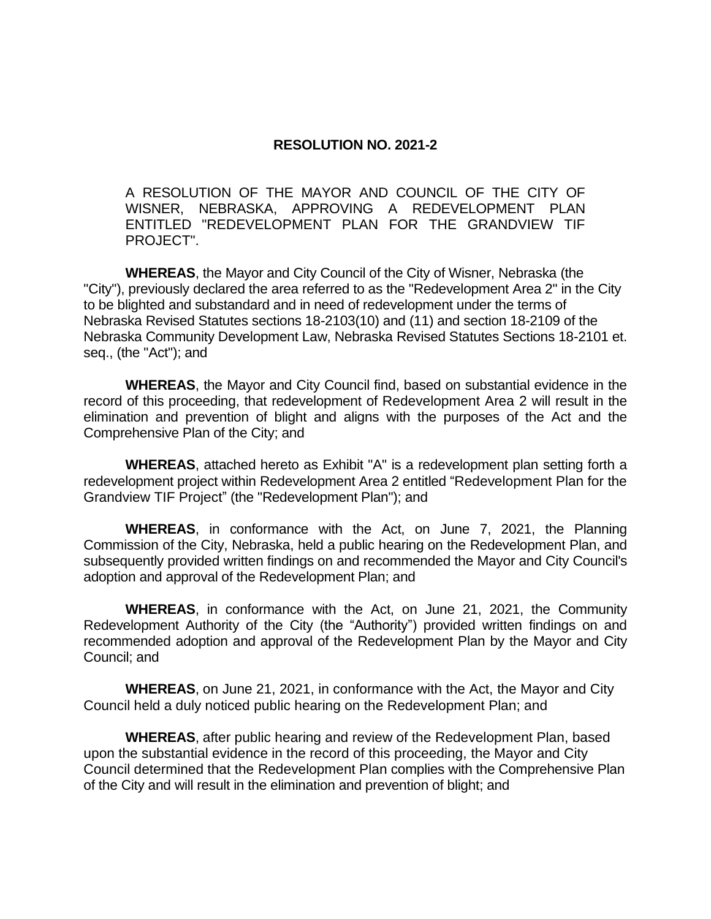## **RESOLUTION NO. 2021-2**

A RESOLUTION OF THE MAYOR AND COUNCIL OF THE CITY OF WISNER, NEBRASKA, APPROVING A REDEVELOPMENT PLAN ENTITLED "REDEVELOPMENT PLAN FOR THE GRANDVIEW TIF PROJECT".

**WHEREAS**, the Mayor and City Council of the City of Wisner, Nebraska (the "City"), previously declared the area referred to as the "Redevelopment Area 2" in the City to be blighted and substandard and in need of redevelopment under the terms of Nebraska Revised Statutes sections 18-2103(10) and (11) and section 18-2109 of the Nebraska Community Development Law, Nebraska Revised Statutes Sections 18-2101 et. seq., (the "Act"); and

**WHEREAS**, the Mayor and City Council find, based on substantial evidence in the record of this proceeding, that redevelopment of Redevelopment Area 2 will result in the elimination and prevention of blight and aligns with the purposes of the Act and the Comprehensive Plan of the City; and

**WHEREAS**, attached hereto as Exhibit "A" is a redevelopment plan setting forth a redevelopment project within Redevelopment Area 2 entitled "Redevelopment Plan for the Grandview TIF Project" (the "Redevelopment Plan"); and

**WHEREAS**, in conformance with the Act, on June 7, 2021, the Planning Commission of the City, Nebraska, held a public hearing on the Redevelopment Plan, and subsequently provided written findings on and recommended the Mayor and City Council's adoption and approval of the Redevelopment Plan; and

**WHEREAS**, in conformance with the Act, on June 21, 2021, the Community Redevelopment Authority of the City (the "Authority") provided written findings on and recommended adoption and approval of the Redevelopment Plan by the Mayor and City Council; and

**WHEREAS**, on June 21, 2021, in conformance with the Act, the Mayor and City Council held a duly noticed public hearing on the Redevelopment Plan; and

**WHEREAS**, after public hearing and review of the Redevelopment Plan, based upon the substantial evidence in the record of this proceeding, the Mayor and City Council determined that the Redevelopment Plan complies with the Comprehensive Plan of the City and will result in the elimination and prevention of blight; and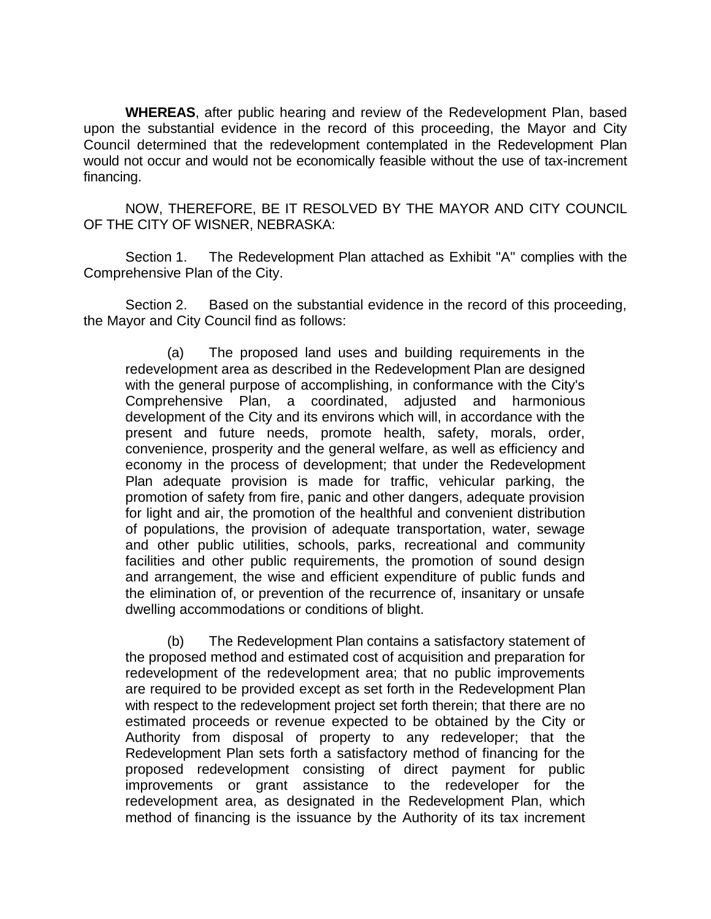**WHEREAS**, after public hearing and review of the Redevelopment Plan, based upon the substantial evidence in the record of this proceeding, the Mayor and City Council determined that the redevelopment contemplated in the Redevelopment Plan would not occur and would not be economically feasible without the use of tax-increment financing.

NOW, THEREFORE, BE IT RESOLVED BY THE MAYOR AND CITY COUNCIL OF THE CITY OF WISNER, NEBRASKA:

Section 1. The Redevelopment Plan attached as Exhibit "A" complies with the Comprehensive Plan of the City.

Section 2. Based on the substantial evidence in the record of this proceeding, the Mayor and City Council find as follows:

(a) The proposed land uses and building requirements in the redevelopment area as described in the Redevelopment Plan are designed with the general purpose of accomplishing, in conformance with the City's Comprehensive Plan, a coordinated, adjusted and harmonious development of the City and its environs which will, in accordance with the present and future needs, promote health, safety, morals, order, convenience, prosperity and the general welfare, as well as efficiency and economy in the process of development; that under the Redevelopment Plan adequate provision is made for traffic, vehicular parking, the promotion of safety from fire, panic and other dangers, adequate provision for light and air, the promotion of the healthful and convenient distribution of populations, the provision of adequate transportation, water, sewage and other public utilities, schools, parks, recreational and community facilities and other public requirements, the promotion of sound design and arrangement, the wise and efficient expenditure of public funds and the elimination of, or prevention of the recurrence of, insanitary or unsafe dwelling accommodations or conditions of blight.

(b) The Redevelopment Plan contains a satisfactory statement of the proposed method and estimated cost of acquisition and preparation for redevelopment of the redevelopment area; that no public improvements are required to be provided except as set forth in the Redevelopment Plan with respect to the redevelopment project set forth therein; that there are no estimated proceeds or revenue expected to be obtained by the City or Authority from disposal of property to any redeveloper; that the Redevelopment Plan sets forth a satisfactory method of financing for the proposed redevelopment consisting of direct payment for public improvements or grant assistance to the redeveloper for the redevelopment area, as designated in the Redevelopment Plan, which method of financing is the issuance by the Authority of its tax increment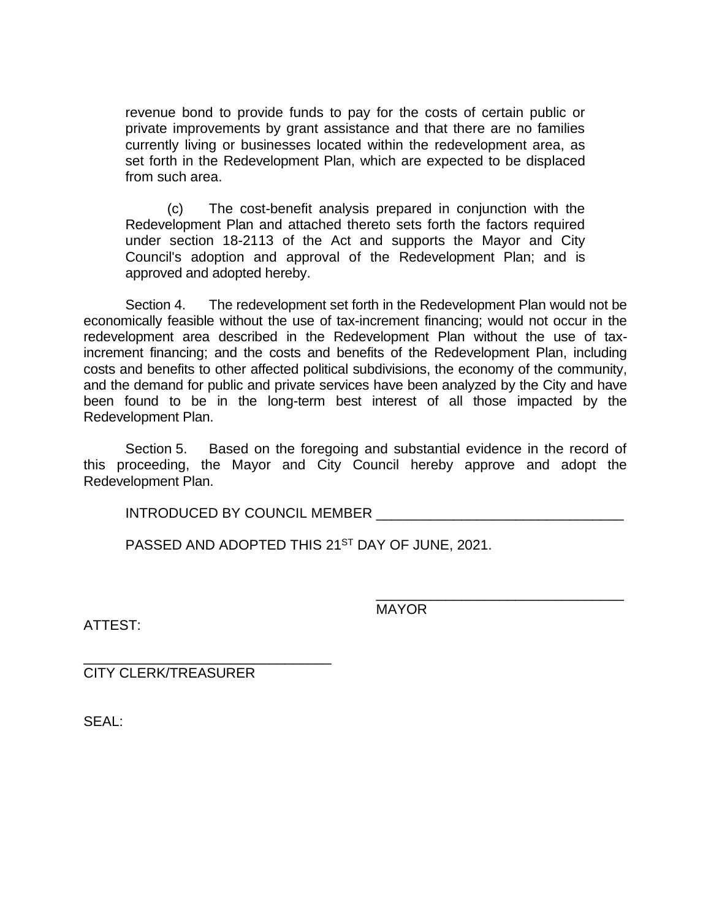revenue bond to provide funds to pay for the costs of certain public or private improvements by grant assistance and that there are no families currently living or businesses located within the redevelopment area, as set forth in the Redevelopment Plan, which are expected to be displaced from such area.

(c) The cost-benefit analysis prepared in conjunction with the Redevelopment Plan and attached thereto sets forth the factors required under section 18-2113 of the Act and supports the Mayor and City Council's adoption and approval of the Redevelopment Plan; and is approved and adopted hereby.

Section 4. The redevelopment set forth in the Redevelopment Plan would not be economically feasible without the use of tax-increment financing; would not occur in the redevelopment area described in the Redevelopment Plan without the use of taxincrement financing; and the costs and benefits of the Redevelopment Plan, including costs and benefits to other affected political subdivisions, the economy of the community, and the demand for public and private services have been analyzed by the City and have been found to be in the long-term best interest of all those impacted by the Redevelopment Plan.

Section 5. Based on the foregoing and substantial evidence in the record of this proceeding, the Mayor and City Council hereby approve and adopt the Redevelopment Plan.

INTRODUCED BY COUNCIL MEMBER

PASSED AND ADOPTED THIS 21<sup>ST</sup> DAY OF JUNE, 2021.

MAYOR

\_\_\_\_\_\_\_\_\_\_\_\_\_\_\_\_\_\_\_\_\_\_\_\_\_\_\_\_\_\_\_\_

ATTEST:

\_\_\_\_\_\_\_\_\_\_\_\_\_\_\_\_\_\_\_\_\_\_\_\_\_\_\_\_\_\_\_\_ CITY CLERK/TREASURER

SEAL: